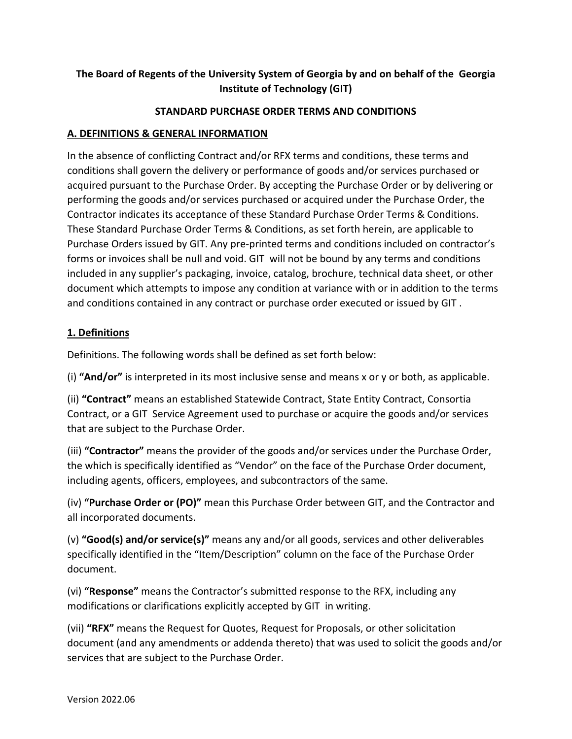# **The Board of Regents of the University System of Georgia by and on behalf of the Georgia Institute of Technology (GIT)**

### **STANDARD PURCHASE ORDER TERMS AND CONDITIONS**

### **A. DEFINITIONS & GENERAL INFORMATION**

In the absence of conflicting Contract and/or RFX terms and conditions, these terms and conditions shall govern the delivery or performance of goods and/or services purchased or acquired pursuant to the Purchase Order. By accepting the Purchase Order or by delivering or performing the goods and/or services purchased or acquired under the Purchase Order, the Contractor indicates its acceptance of these Standard Purchase Order Terms & Conditions. These Standard Purchase Order Terms & Conditions, as set forth herein, are applicable to Purchase Orders issued by GIT. Any pre-printed terms and conditions included on contractor's forms or invoices shall be null and void. GIT will not be bound by any terms and conditions included in any supplier's packaging, invoice, catalog, brochure, technical data sheet, or other document which attempts to impose any condition at variance with or in addition to the terms and conditions contained in any contract or purchase order executed or issued by GIT .

## **1. Definitions**

Definitions. The following words shall be defined as set forth below:

(i) **"And/or"** is interpreted in its most inclusive sense and means x or y or both, as applicable.

(ii) **"Contract"** means an established Statewide Contract, State Entity Contract, Consortia Contract, or a GIT Service Agreement used to purchase or acquire the goods and/or services that are subject to the Purchase Order.

(iii) **"Contractor"** means the provider of the goods and/or services under the Purchase Order, the which is specifically identified as "Vendor" on the face of the Purchase Order document, including agents, officers, employees, and subcontractors of the same.

(iv) **"Purchase Order or (PO)"** mean this Purchase Order between GIT, and the Contractor and all incorporated documents.

(v) **"Good(s) and/or service(s)"** means any and/or all goods, services and other deliverables specifically identified in the "Item/Description" column on the face of the Purchase Order document.

(vi) **"Response"** means the Contractor's submitted response to the RFX, including any modifications or clarifications explicitly accepted by GIT in writing.

(vii) **"RFX"** means the Request for Quotes, Request for Proposals, or other solicitation document (and any amendments or addenda thereto) that was used to solicit the goods and/or services that are subject to the Purchase Order.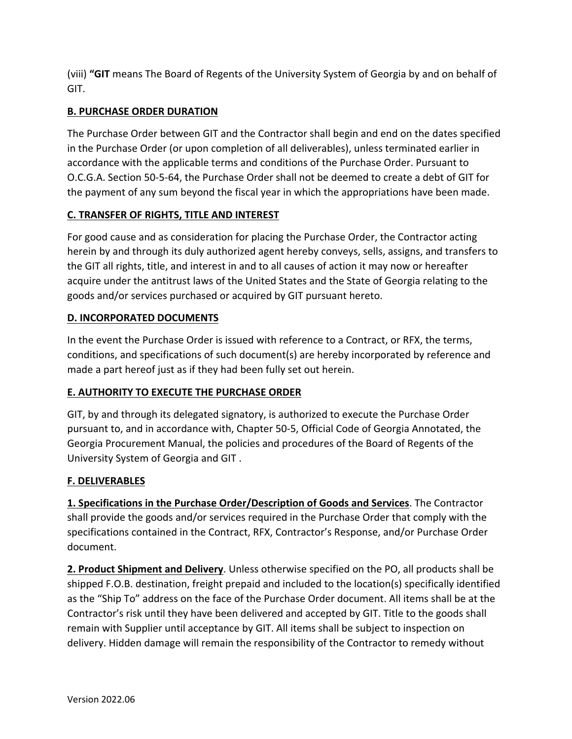(viii) **"GIT** means The Board of Regents of the University System of Georgia by and on behalf of GIT.

## **B. PURCHASE ORDER DURATION**

The Purchase Order between GIT and the Contractor shall begin and end on the dates specified in the Purchase Order (or upon completion of all deliverables), unless terminated earlier in accordance with the applicable terms and conditions of the Purchase Order. Pursuant to O.C.G.A. Section 50-5-64, the Purchase Order shall not be deemed to create a debt of GIT for the payment of any sum beyond the fiscal year in which the appropriations have been made.

## **C. TRANSFER OF RIGHTS, TITLE AND INTEREST**

For good cause and as consideration for placing the Purchase Order, the Contractor acting herein by and through its duly authorized agent hereby conveys, sells, assigns, and transfers to the GIT all rights, title, and interest in and to all causes of action it may now or hereafter acquire under the antitrust laws of the United States and the State of Georgia relating to the goods and/or services purchased or acquired by GIT pursuant hereto.

## **D. INCORPORATED DOCUMENTS**

In the event the Purchase Order is issued with reference to a Contract, or RFX, the terms, conditions, and specifications of such document(s) are hereby incorporated by reference and made a part hereof just as if they had been fully set out herein.

### **E. AUTHORITY TO EXECUTE THE PURCHASE ORDER**

GIT, by and through its delegated signatory, is authorized to execute the Purchase Order pursuant to, and in accordance with, Chapter 50-5, Official Code of Georgia Annotated, the Georgia Procurement Manual, the policies and procedures of the Board of Regents of the University System of Georgia and GIT .

### **F. DELIVERABLES**

**1. Specifications in the Purchase Order/Description of Goods and Services**. The Contractor shall provide the goods and/or services required in the Purchase Order that comply with the specifications contained in the Contract, RFX, Contractor's Response, and/or Purchase Order document.

**2. Product Shipment and Delivery**. Unless otherwise specified on the PO, all products shall be shipped F.O.B. destination, freight prepaid and included to the location(s) specifically identified as the "Ship To" address on the face of the Purchase Order document. All items shall be at the Contractor's risk until they have been delivered and accepted by GIT. Title to the goods shall remain with Supplier until acceptance by GIT. All items shall be subject to inspection on delivery. Hidden damage will remain the responsibility of the Contractor to remedy without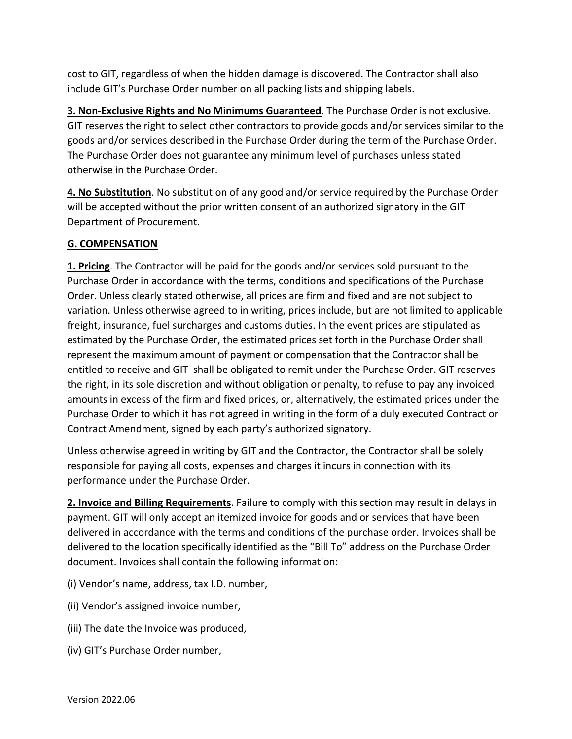cost to GIT, regardless of when the hidden damage is discovered. The Contractor shall also include GIT's Purchase Order number on all packing lists and shipping labels.

**3. Non-Exclusive Rights and No Minimums Guaranteed**. The Purchase Order is not exclusive. GIT reserves the right to select other contractors to provide goods and/or services similar to the goods and/or services described in the Purchase Order during the term of the Purchase Order. The Purchase Order does not guarantee any minimum level of purchases unless stated otherwise in the Purchase Order.

**4. No Substitution**. No substitution of any good and/or service required by the Purchase Order will be accepted without the prior written consent of an authorized signatory in the GIT Department of Procurement.

## **G. COMPENSATION**

**1. Pricing**. The Contractor will be paid for the goods and/or services sold pursuant to the Purchase Order in accordance with the terms, conditions and specifications of the Purchase Order. Unless clearly stated otherwise, all prices are firm and fixed and are not subject to variation. Unless otherwise agreed to in writing, prices include, but are not limited to applicable freight, insurance, fuel surcharges and customs duties. In the event prices are stipulated as estimated by the Purchase Order, the estimated prices set forth in the Purchase Order shall represent the maximum amount of payment or compensation that the Contractor shall be entitled to receive and GIT shall be obligated to remit under the Purchase Order. GIT reserves the right, in its sole discretion and without obligation or penalty, to refuse to pay any invoiced amounts in excess of the firm and fixed prices, or, alternatively, the estimated prices under the Purchase Order to which it has not agreed in writing in the form of a duly executed Contract or Contract Amendment, signed by each party's authorized signatory.

Unless otherwise agreed in writing by GIT and the Contractor, the Contractor shall be solely responsible for paying all costs, expenses and charges it incurs in connection with its performance under the Purchase Order.

**2. Invoice and Billing Requirements**. Failure to comply with this section may result in delays in payment. GIT will only accept an itemized invoice for goods and or services that have been delivered in accordance with the terms and conditions of the purchase order. Invoices shall be delivered to the location specifically identified as the "Bill To" address on the Purchase Order document. Invoices shall contain the following information:

- (i) Vendor's name, address, tax I.D. number,
- (ii) Vendor's assigned invoice number,
- (iii) The date the Invoice was produced,
- (iv) GIT's Purchase Order number,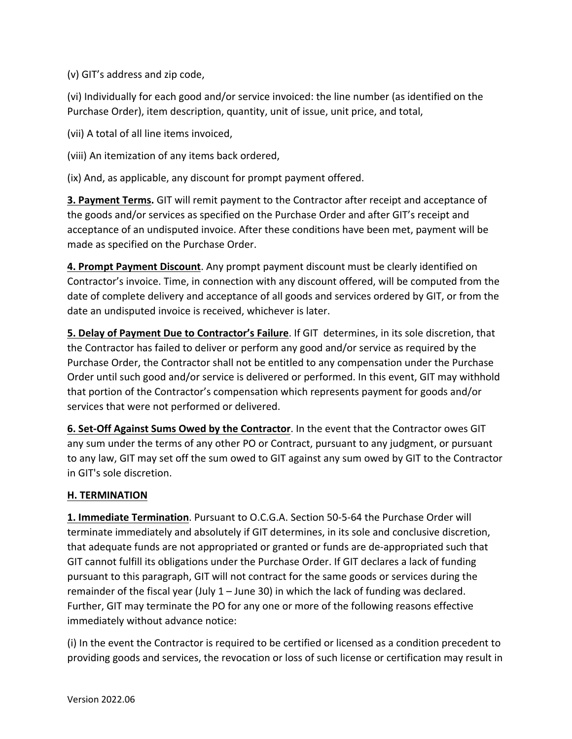(v) GIT's address and zip code,

(vi) Individually for each good and/or service invoiced: the line number (as identified on the Purchase Order), item description, quantity, unit of issue, unit price, and total,

(vii) A total of all line items invoiced,

(viii) An itemization of any items back ordered,

(ix) And, as applicable, any discount for prompt payment offered.

**3. Payment Terms.** GIT will remit payment to the Contractor after receipt and acceptance of the goods and/or services as specified on the Purchase Order and after GIT's receipt and acceptance of an undisputed invoice. After these conditions have been met, payment will be made as specified on the Purchase Order.

**4. Prompt Payment Discount**. Any prompt payment discount must be clearly identified on Contractor's invoice. Time, in connection with any discount offered, will be computed from the date of complete delivery and acceptance of all goods and services ordered by GIT, or from the date an undisputed invoice is received, whichever is later.

**5. Delay of Payment Due to Contractor's Failure**. If GIT determines, in its sole discretion, that the Contractor has failed to deliver or perform any good and/or service as required by the Purchase Order, the Contractor shall not be entitled to any compensation under the Purchase Order until such good and/or service is delivered or performed. In this event, GIT may withhold that portion of the Contractor's compensation which represents payment for goods and/or services that were not performed or delivered.

**6. Set-Off Against Sums Owed by the Contractor**. In the event that the Contractor owes GIT any sum under the terms of any other PO or Contract, pursuant to any judgment, or pursuant to any law, GIT may set off the sum owed to GIT against any sum owed by GIT to the Contractor in GIT's sole discretion.

### **H. TERMINATION**

**1. Immediate Termination**. Pursuant to O.C.G.A. Section 50-5-64 the Purchase Order will terminate immediately and absolutely if GIT determines, in its sole and conclusive discretion, that adequate funds are not appropriated or granted or funds are de-appropriated such that GIT cannot fulfill its obligations under the Purchase Order. If GIT declares a lack of funding pursuant to this paragraph, GIT will not contract for the same goods or services during the remainder of the fiscal year (July  $1 -$  June 30) in which the lack of funding was declared. Further, GIT may terminate the PO for any one or more of the following reasons effective immediately without advance notice:

(i) In the event the Contractor is required to be certified or licensed as a condition precedent to providing goods and services, the revocation or loss of such license or certification may result in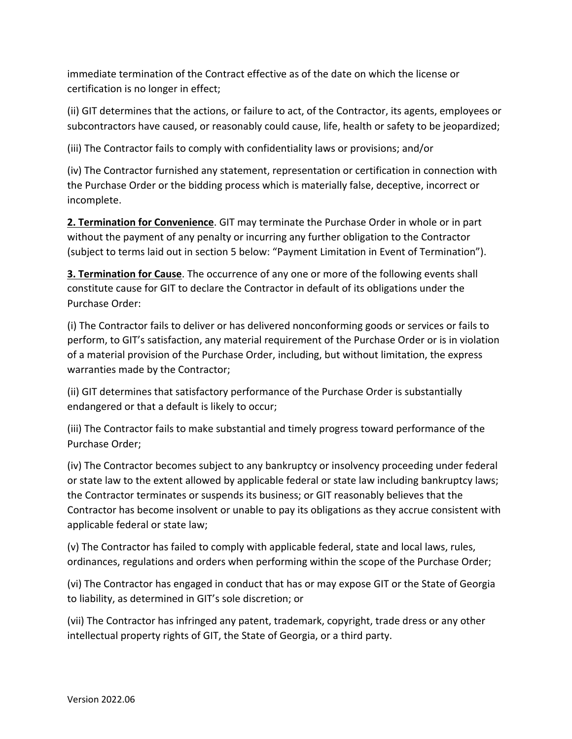immediate termination of the Contract effective as of the date on which the license or certification is no longer in effect;

(ii) GIT determines that the actions, or failure to act, of the Contractor, its agents, employees or subcontractors have caused, or reasonably could cause, life, health or safety to be jeopardized;

(iii) The Contractor fails to comply with confidentiality laws or provisions; and/or

(iv) The Contractor furnished any statement, representation or certification in connection with the Purchase Order or the bidding process which is materially false, deceptive, incorrect or incomplete.

**2. Termination for Convenience**. GIT may terminate the Purchase Order in whole or in part without the payment of any penalty or incurring any further obligation to the Contractor (subject to terms laid out in section 5 below: "Payment Limitation in Event of Termination").

**3. Termination for Cause**. The occurrence of any one or more of the following events shall constitute cause for GIT to declare the Contractor in default of its obligations under the Purchase Order:

(i) The Contractor fails to deliver or has delivered nonconforming goods or services or fails to perform, to GIT's satisfaction, any material requirement of the Purchase Order or is in violation of a material provision of the Purchase Order, including, but without limitation, the express warranties made by the Contractor;

(ii) GIT determines that satisfactory performance of the Purchase Order is substantially endangered or that a default is likely to occur;

(iii) The Contractor fails to make substantial and timely progress toward performance of the Purchase Order;

(iv) The Contractor becomes subject to any bankruptcy or insolvency proceeding under federal or state law to the extent allowed by applicable federal or state law including bankruptcy laws; the Contractor terminates or suspends its business; or GIT reasonably believes that the Contractor has become insolvent or unable to pay its obligations as they accrue consistent with applicable federal or state law;

(v) The Contractor has failed to comply with applicable federal, state and local laws, rules, ordinances, regulations and orders when performing within the scope of the Purchase Order;

(vi) The Contractor has engaged in conduct that has or may expose GIT or the State of Georgia to liability, as determined in GIT's sole discretion; or

(vii) The Contractor has infringed any patent, trademark, copyright, trade dress or any other intellectual property rights of GIT, the State of Georgia, or a third party.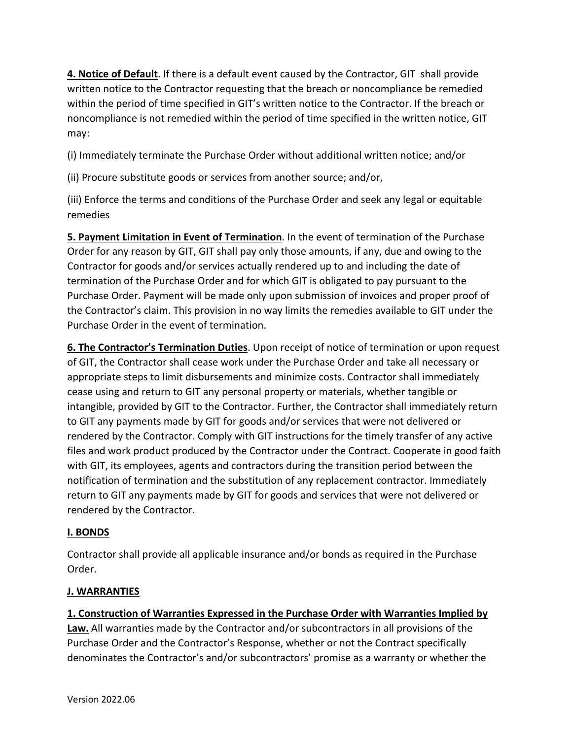**4. Notice of Default**. If there is a default event caused by the Contractor, GIT shall provide written notice to the Contractor requesting that the breach or noncompliance be remedied within the period of time specified in GIT's written notice to the Contractor. If the breach or noncompliance is not remedied within the period of time specified in the written notice, GIT may:

(i) Immediately terminate the Purchase Order without additional written notice; and/or

(ii) Procure substitute goods or services from another source; and/or,

(iii) Enforce the terms and conditions of the Purchase Order and seek any legal or equitable remedies

**5. Payment Limitation in Event of Termination**. In the event of termination of the Purchase Order for any reason by GIT, GIT shall pay only those amounts, if any, due and owing to the Contractor for goods and/or services actually rendered up to and including the date of termination of the Purchase Order and for which GIT is obligated to pay pursuant to the Purchase Order. Payment will be made only upon submission of invoices and proper proof of the Contractor's claim. This provision in no way limits the remedies available to GIT under the Purchase Order in the event of termination.

**6. The Contractor's Termination Duties**. Upon receipt of notice of termination or upon request of GIT, the Contractor shall cease work under the Purchase Order and take all necessary or appropriate steps to limit disbursements and minimize costs. Contractor shall immediately cease using and return to GIT any personal property or materials, whether tangible or intangible, provided by GIT to the Contractor. Further, the Contractor shall immediately return to GIT any payments made by GIT for goods and/or services that were not delivered or rendered by the Contractor. Comply with GIT instructions for the timely transfer of any active files and work product produced by the Contractor under the Contract. Cooperate in good faith with GIT, its employees, agents and contractors during the transition period between the notification of termination and the substitution of any replacement contractor. Immediately return to GIT any payments made by GIT for goods and services that were not delivered or rendered by the Contractor.

### **I. BONDS**

Contractor shall provide all applicable insurance and/or bonds as required in the Purchase Order.

#### **J. WARRANTIES**

### **1. Construction of Warranties Expressed in the Purchase Order with Warranties Implied by**

**Law.** All warranties made by the Contractor and/or subcontractors in all provisions of the Purchase Order and the Contractor's Response, whether or not the Contract specifically denominates the Contractor's and/or subcontractors' promise as a warranty or whether the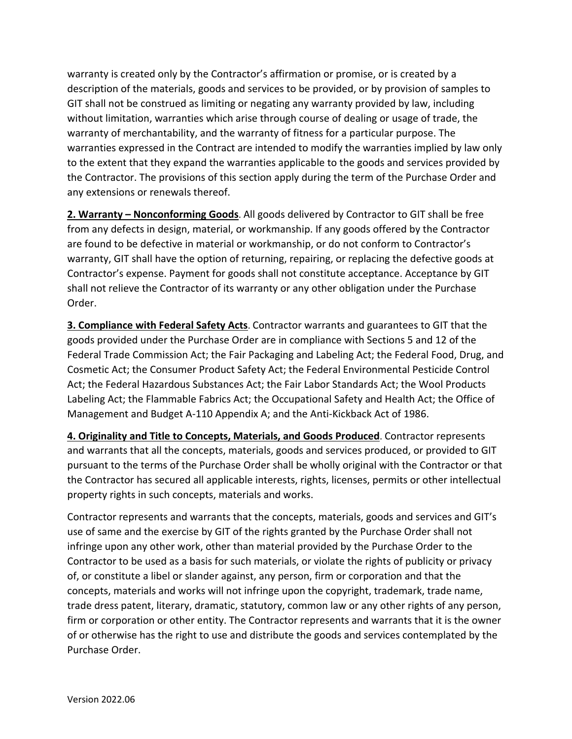warranty is created only by the Contractor's affirmation or promise, or is created by a description of the materials, goods and services to be provided, or by provision of samples to GIT shall not be construed as limiting or negating any warranty provided by law, including without limitation, warranties which arise through course of dealing or usage of trade, the warranty of merchantability, and the warranty of fitness for a particular purpose. The warranties expressed in the Contract are intended to modify the warranties implied by law only to the extent that they expand the warranties applicable to the goods and services provided by the Contractor. The provisions of this section apply during the term of the Purchase Order and any extensions or renewals thereof.

**2. Warranty – Nonconforming Goods**. All goods delivered by Contractor to GIT shall be free from any defects in design, material, or workmanship. If any goods offered by the Contractor are found to be defective in material or workmanship, or do not conform to Contractor's warranty, GIT shall have the option of returning, repairing, or replacing the defective goods at Contractor's expense. Payment for goods shall not constitute acceptance. Acceptance by GIT shall not relieve the Contractor of its warranty or any other obligation under the Purchase Order.

**3. Compliance with Federal Safety Acts**. Contractor warrants and guarantees to GIT that the goods provided under the Purchase Order are in compliance with Sections 5 and 12 of the Federal Trade Commission Act; the Fair Packaging and Labeling Act; the Federal Food, Drug, and Cosmetic Act; the Consumer Product Safety Act; the Federal Environmental Pesticide Control Act; the Federal Hazardous Substances Act; the Fair Labor Standards Act; the Wool Products Labeling Act; the Flammable Fabrics Act; the Occupational Safety and Health Act; the Office of Management and Budget A-110 Appendix A; and the Anti-Kickback Act of 1986.

**4. Originality and Title to Concepts, Materials, and Goods Produced**. Contractor represents and warrants that all the concepts, materials, goods and services produced, or provided to GIT pursuant to the terms of the Purchase Order shall be wholly original with the Contractor or that the Contractor has secured all applicable interests, rights, licenses, permits or other intellectual property rights in such concepts, materials and works.

Contractor represents and warrants that the concepts, materials, goods and services and GIT's use of same and the exercise by GIT of the rights granted by the Purchase Order shall not infringe upon any other work, other than material provided by the Purchase Order to the Contractor to be used as a basis for such materials, or violate the rights of publicity or privacy of, or constitute a libel or slander against, any person, firm or corporation and that the concepts, materials and works will not infringe upon the copyright, trademark, trade name, trade dress patent, literary, dramatic, statutory, common law or any other rights of any person, firm or corporation or other entity. The Contractor represents and warrants that it is the owner of or otherwise has the right to use and distribute the goods and services contemplated by the Purchase Order.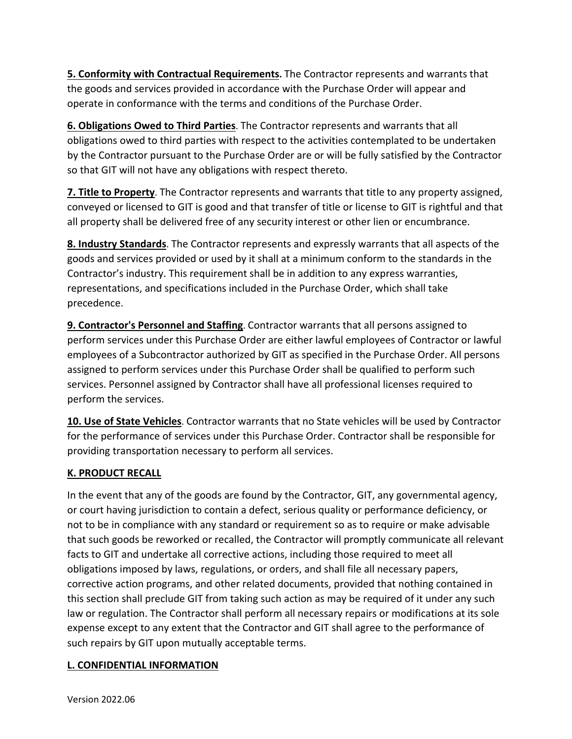**5. Conformity with Contractual Requirements.** The Contractor represents and warrants that the goods and services provided in accordance with the Purchase Order will appear and operate in conformance with the terms and conditions of the Purchase Order.

**6. Obligations Owed to Third Parties**. The Contractor represents and warrants that all obligations owed to third parties with respect to the activities contemplated to be undertaken by the Contractor pursuant to the Purchase Order are or will be fully satisfied by the Contractor so that GIT will not have any obligations with respect thereto.

**7. Title to Property**. The Contractor represents and warrants that title to any property assigned, conveyed or licensed to GIT is good and that transfer of title or license to GIT is rightful and that all property shall be delivered free of any security interest or other lien or encumbrance.

**8. Industry Standards**. The Contractor represents and expressly warrants that all aspects of the goods and services provided or used by it shall at a minimum conform to the standards in the Contractor's industry. This requirement shall be in addition to any express warranties, representations, and specifications included in the Purchase Order, which shall take precedence.

**9. Contractor's Personnel and Staffing**. Contractor warrants that all persons assigned to perform services under this Purchase Order are either lawful employees of Contractor or lawful employees of a Subcontractor authorized by GIT as specified in the Purchase Order. All persons assigned to perform services under this Purchase Order shall be qualified to perform such services. Personnel assigned by Contractor shall have all professional licenses required to perform the services.

**10. Use of State Vehicles**. Contractor warrants that no State vehicles will be used by Contractor for the performance of services under this Purchase Order. Contractor shall be responsible for providing transportation necessary to perform all services.

### **K. PRODUCT RECALL**

In the event that any of the goods are found by the Contractor, GIT, any governmental agency, or court having jurisdiction to contain a defect, serious quality or performance deficiency, or not to be in compliance with any standard or requirement so as to require or make advisable that such goods be reworked or recalled, the Contractor will promptly communicate all relevant facts to GIT and undertake all corrective actions, including those required to meet all obligations imposed by laws, regulations, or orders, and shall file all necessary papers, corrective action programs, and other related documents, provided that nothing contained in this section shall preclude GIT from taking such action as may be required of it under any such law or regulation. The Contractor shall perform all necessary repairs or modifications at its sole expense except to any extent that the Contractor and GIT shall agree to the performance of such repairs by GIT upon mutually acceptable terms.

### **L. CONFIDENTIAL INFORMATION**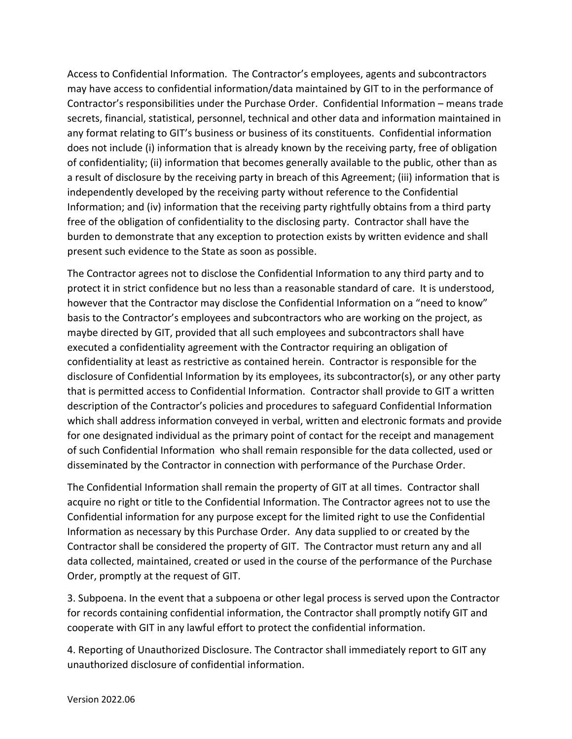Access to Confidential Information. The Contractor's employees, agents and subcontractors may have access to confidential information/data maintained by GIT to in the performance of Contractor's responsibilities under the Purchase Order. Confidential Information – means trade secrets, financial, statistical, personnel, technical and other data and information maintained in any format relating to GIT's business or business of its constituents. Confidential information does not include (i) information that is already known by the receiving party, free of obligation of confidentiality; (ii) information that becomes generally available to the public, other than as a result of disclosure by the receiving party in breach of this Agreement; (iii) information that is independently developed by the receiving party without reference to the Confidential Information; and (iv) information that the receiving party rightfully obtains from a third party free of the obligation of confidentiality to the disclosing party. Contractor shall have the burden to demonstrate that any exception to protection exists by written evidence and shall present such evidence to the State as soon as possible.

The Contractor agrees not to disclose the Confidential Information to any third party and to protect it in strict confidence but no less than a reasonable standard of care. It is understood, however that the Contractor may disclose the Confidential Information on a "need to know" basis to the Contractor's employees and subcontractors who are working on the project, as maybe directed by GIT, provided that all such employees and subcontractors shall have executed a confidentiality agreement with the Contractor requiring an obligation of confidentiality at least as restrictive as contained herein. Contractor is responsible for the disclosure of Confidential Information by its employees, its subcontractor(s), or any other party that is permitted access to Confidential Information. Contractor shall provide to GIT a written description of the Contractor's policies and procedures to safeguard Confidential Information which shall address information conveyed in verbal, written and electronic formats and provide for one designated individual as the primary point of contact for the receipt and management of such Confidential Information who shall remain responsible for the data collected, used or disseminated by the Contractor in connection with performance of the Purchase Order.

The Confidential Information shall remain the property of GIT at all times. Contractor shall acquire no right or title to the Confidential Information. The Contractor agrees not to use the Confidential information for any purpose except for the limited right to use the Confidential Information as necessary by this Purchase Order. Any data supplied to or created by the Contractor shall be considered the property of GIT. The Contractor must return any and all data collected, maintained, created or used in the course of the performance of the Purchase Order, promptly at the request of GIT.

3. Subpoena. In the event that a subpoena or other legal process is served upon the Contractor for records containing confidential information, the Contractor shall promptly notify GIT and cooperate with GIT in any lawful effort to protect the confidential information.

4. Reporting of Unauthorized Disclosure. The Contractor shall immediately report to GIT any unauthorized disclosure of confidential information.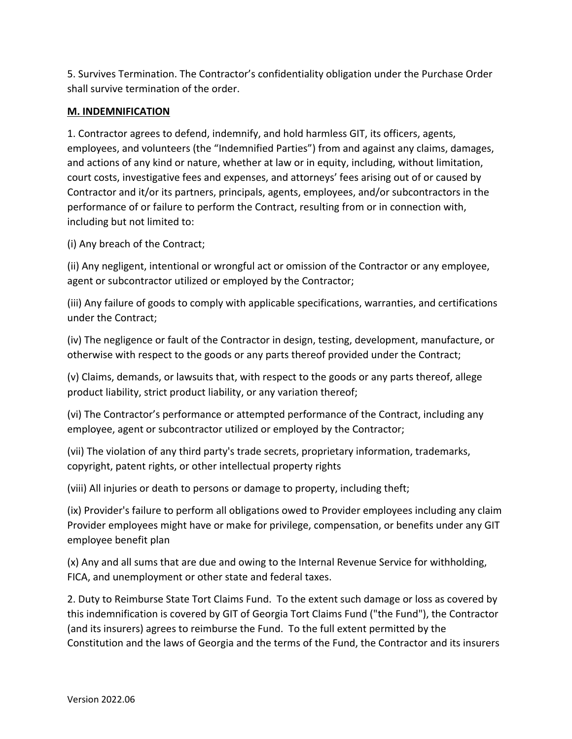5. Survives Termination. The Contractor's confidentiality obligation under the Purchase Order shall survive termination of the order.

### **M. INDEMNIFICATION**

1. Contractor agrees to defend, indemnify, and hold harmless GIT, its officers, agents, employees, and volunteers (the "Indemnified Parties") from and against any claims, damages, and actions of any kind or nature, whether at law or in equity, including, without limitation, court costs, investigative fees and expenses, and attorneys' fees arising out of or caused by Contractor and it/or its partners, principals, agents, employees, and/or subcontractors in the performance of or failure to perform the Contract, resulting from or in connection with, including but not limited to:

(i) Any breach of the Contract;

(ii) Any negligent, intentional or wrongful act or omission of the Contractor or any employee, agent or subcontractor utilized or employed by the Contractor;

(iii) Any failure of goods to comply with applicable specifications, warranties, and certifications under the Contract;

(iv) The negligence or fault of the Contractor in design, testing, development, manufacture, or otherwise with respect to the goods or any parts thereof provided under the Contract;

(v) Claims, demands, or lawsuits that, with respect to the goods or any parts thereof, allege product liability, strict product liability, or any variation thereof;

(vi) The Contractor's performance or attempted performance of the Contract, including any employee, agent or subcontractor utilized or employed by the Contractor;

(vii) The violation of any third party's trade secrets, proprietary information, trademarks, copyright, patent rights, or other intellectual property rights

(viii) All injuries or death to persons or damage to property, including theft;

(ix) Provider's failure to perform all obligations owed to Provider employees including any claim Provider employees might have or make for privilege, compensation, or benefits under any GIT employee benefit plan

(x) Any and all sums that are due and owing to the Internal Revenue Service for withholding, FICA, and unemployment or other state and federal taxes.

2. Duty to Reimburse State Tort Claims Fund. To the extent such damage or loss as covered by this indemnification is covered by GIT of Georgia Tort Claims Fund ("the Fund"), the Contractor (and its insurers) agrees to reimburse the Fund. To the full extent permitted by the Constitution and the laws of Georgia and the terms of the Fund, the Contractor and its insurers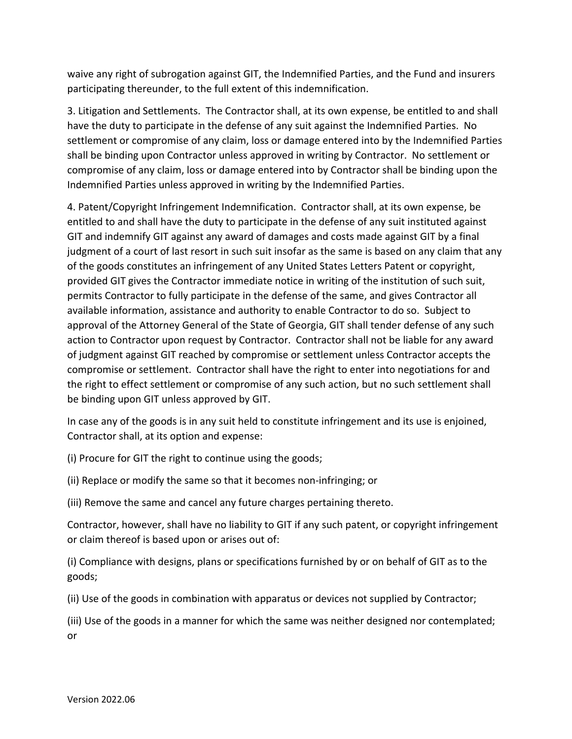waive any right of subrogation against GIT, the Indemnified Parties, and the Fund and insurers participating thereunder, to the full extent of this indemnification.

3. Litigation and Settlements. The Contractor shall, at its own expense, be entitled to and shall have the duty to participate in the defense of any suit against the Indemnified Parties. No settlement or compromise of any claim, loss or damage entered into by the Indemnified Parties shall be binding upon Contractor unless approved in writing by Contractor. No settlement or compromise of any claim, loss or damage entered into by Contractor shall be binding upon the Indemnified Parties unless approved in writing by the Indemnified Parties.

4. Patent/Copyright Infringement Indemnification. Contractor shall, at its own expense, be entitled to and shall have the duty to participate in the defense of any suit instituted against GIT and indemnify GIT against any award of damages and costs made against GIT by a final judgment of a court of last resort in such suit insofar as the same is based on any claim that any of the goods constitutes an infringement of any United States Letters Patent or copyright, provided GIT gives the Contractor immediate notice in writing of the institution of such suit, permits Contractor to fully participate in the defense of the same, and gives Contractor all available information, assistance and authority to enable Contractor to do so. Subject to approval of the Attorney General of the State of Georgia, GIT shall tender defense of any such action to Contractor upon request by Contractor. Contractor shall not be liable for any award of judgment against GIT reached by compromise or settlement unless Contractor accepts the compromise or settlement. Contractor shall have the right to enter into negotiations for and the right to effect settlement or compromise of any such action, but no such settlement shall be binding upon GIT unless approved by GIT.

In case any of the goods is in any suit held to constitute infringement and its use is enjoined, Contractor shall, at its option and expense:

(i) Procure for GIT the right to continue using the goods;

(ii) Replace or modify the same so that it becomes non-infringing; or

(iii) Remove the same and cancel any future charges pertaining thereto.

Contractor, however, shall have no liability to GIT if any such patent, or copyright infringement or claim thereof is based upon or arises out of:

(i) Compliance with designs, plans or specifications furnished by or on behalf of GIT as to the goods;

(ii) Use of the goods in combination with apparatus or devices not supplied by Contractor;

(iii) Use of the goods in a manner for which the same was neither designed nor contemplated; or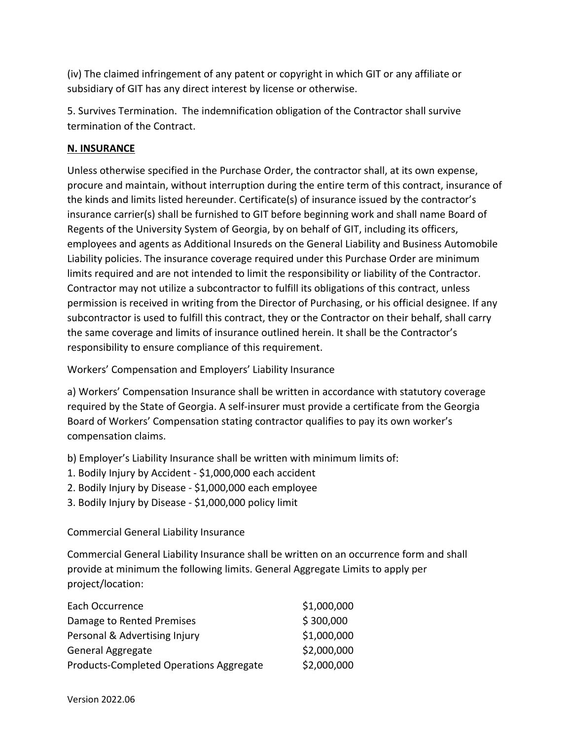(iv) The claimed infringement of any patent or copyright in which GIT or any affiliate or subsidiary of GIT has any direct interest by license or otherwise.

5. Survives Termination. The indemnification obligation of the Contractor shall survive termination of the Contract.

## **N. INSURANCE**

Unless otherwise specified in the Purchase Order, the contractor shall, at its own expense, procure and maintain, without interruption during the entire term of this contract, insurance of the kinds and limits listed hereunder. Certificate(s) of insurance issued by the contractor's insurance carrier(s) shall be furnished to GIT before beginning work and shall name Board of Regents of the University System of Georgia, by on behalf of GIT, including its officers, employees and agents as Additional Insureds on the General Liability and Business Automobile Liability policies. The insurance coverage required under this Purchase Order are minimum limits required and are not intended to limit the responsibility or liability of the Contractor. Contractor may not utilize a subcontractor to fulfill its obligations of this contract, unless permission is received in writing from the Director of Purchasing, or his official designee. If any subcontractor is used to fulfill this contract, they or the Contractor on their behalf, shall carry the same coverage and limits of insurance outlined herein. It shall be the Contractor's responsibility to ensure compliance of this requirement.

Workers' Compensation and Employers' Liability Insurance

a) Workers' Compensation Insurance shall be written in accordance with statutory coverage required by the State of Georgia. A self-insurer must provide a certificate from the Georgia Board of Workers' Compensation stating contractor qualifies to pay its own worker's compensation claims.

b) Employer's Liability Insurance shall be written with minimum limits of:

- 1. Bodily Injury by Accident \$1,000,000 each accident
- 2. Bodily Injury by Disease \$1,000,000 each employee
- 3. Bodily Injury by Disease \$1,000,000 policy limit

Commercial General Liability Insurance

Commercial General Liability Insurance shall be written on an occurrence form and shall provide at minimum the following limits. General Aggregate Limits to apply per project/location:

| Each Occurrence                         | \$1,000,000 |
|-----------------------------------------|-------------|
| Damage to Rented Premises               | \$300,000   |
| Personal & Advertising Injury           | \$1,000,000 |
| General Aggregate                       | \$2,000,000 |
| Products-Completed Operations Aggregate | \$2,000,000 |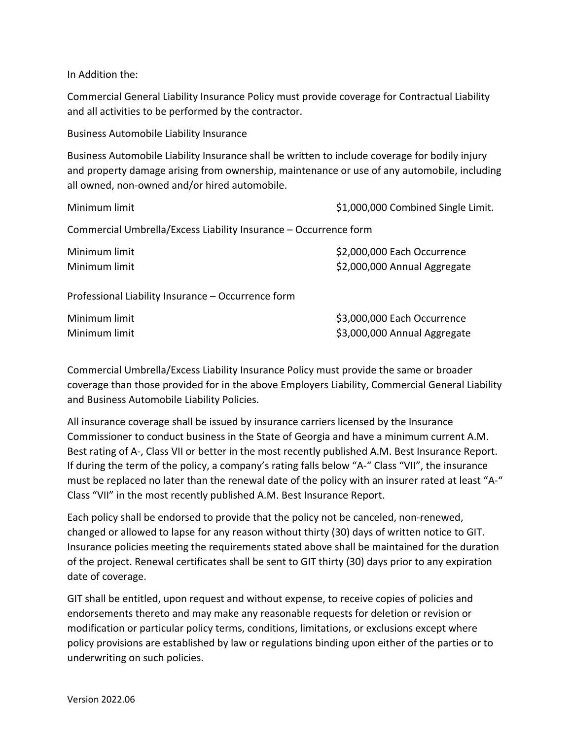In Addition the:

Commercial General Liability Insurance Policy must provide coverage for Contractual Liability and all activities to be performed by the contractor.

Business Automobile Liability Insurance

Business Automobile Liability Insurance shall be written to include coverage for bodily injury and property damage arising from ownership, maintenance or use of any automobile, including all owned, non-owned and/or hired automobile.

| Minimum limit                                                    | \$1,000,000 Combined Single Limit.                          |  |
|------------------------------------------------------------------|-------------------------------------------------------------|--|
| Commercial Umbrella/Excess Liability Insurance – Occurrence form |                                                             |  |
| Minimum limit<br>Minimum limit                                   | \$2,000,000 Each Occurrence<br>\$2,000,000 Annual Aggregate |  |
| Professional Liability Insurance – Occurrence form               |                                                             |  |
| Minimum limit<br>Minimum limit                                   | \$3,000,000 Each Occurrence<br>\$3,000,000 Annual Aggregate |  |

Commercial Umbrella/Excess Liability Insurance Policy must provide the same or broader coverage than those provided for in the above Employers Liability, Commercial General Liability and Business Automobile Liability Policies.

All insurance coverage shall be issued by insurance carriers licensed by the Insurance Commissioner to conduct business in the State of Georgia and have a minimum current A.M. Best rating of A-, Class VII or better in the most recently published A.M. Best Insurance Report. If during the term of the policy, a company's rating falls below "A-" Class "VII", the insurance must be replaced no later than the renewal date of the policy with an insurer rated at least "A-" Class "VII" in the most recently published A.M. Best Insurance Report.

Each policy shall be endorsed to provide that the policy not be canceled, non-renewed, changed or allowed to lapse for any reason without thirty (30) days of written notice to GIT. Insurance policies meeting the requirements stated above shall be maintained for the duration of the project. Renewal certificates shall be sent to GIT thirty (30) days prior to any expiration date of coverage.

GIT shall be entitled, upon request and without expense, to receive copies of policies and endorsements thereto and may make any reasonable requests for deletion or revision or modification or particular policy terms, conditions, limitations, or exclusions except where policy provisions are established by law or regulations binding upon either of the parties or to underwriting on such policies.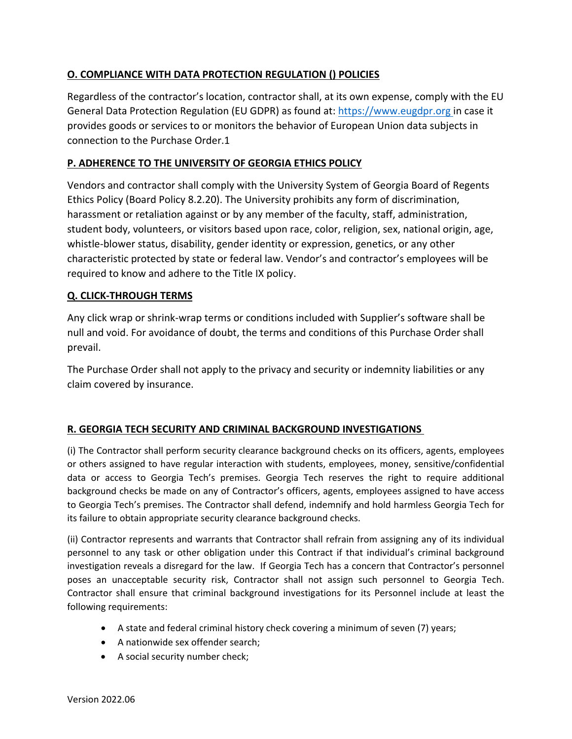## **O. COMPLIANCE WITH DATA PROTECTION REGULATION () POLICIES**

Regardless of the contractor's location, contractor shall, at its own expense, comply with the EU General Data Protection Regulation (EU GDPR) as found at: [https://www.eugdpr.org](https://www.eugdpr.org/) in case it provides goods or services to or monitors the behavior of European Union data subjects in connection to the Purchase Order.1

#### **P. ADHERENCE TO THE UNIVERSITY OF GEORGIA ETHICS POLICY**

Vendors and contractor shall comply with the University System of Georgia Board of Regents Ethics Policy (Board Policy 8.2.20). The University prohibits any form of discrimination, harassment or retaliation against or by any member of the faculty, staff, administration, student body, volunteers, or visitors based upon race, color, religion, sex, national origin, age, whistle-blower status, disability, gender identity or expression, genetics, or any other characteristic protected by state or federal law. Vendor's and contractor's employees will be required to know and adhere to the Title IX policy.

#### **Q. CLICK-THROUGH TERMS**

Any click wrap or shrink-wrap terms or conditions included with Supplier's software shall be null and void. For avoidance of doubt, the terms and conditions of this Purchase Order shall prevail.

The Purchase Order shall not apply to the privacy and security or indemnity liabilities or any claim covered by insurance.

#### **R. GEORGIA TECH SECURITY AND CRIMINAL BACKGROUND INVESTIGATIONS**

(i) The Contractor shall perform security clearance background checks on its officers, agents, employees or others assigned to have regular interaction with students, employees, money, sensitive/confidential data or access to Georgia Tech's premises. Georgia Tech reserves the right to require additional background checks be made on any of Contractor's officers, agents, employees assigned to have access to Georgia Tech's premises. The Contractor shall defend, indemnify and hold harmless Georgia Tech for its failure to obtain appropriate security clearance background checks.

(ii) Contractor represents and warrants that Contractor shall refrain from assigning any of its individual personnel to any task or other obligation under this Contract if that individual's criminal background investigation reveals a disregard for the law. If Georgia Tech has a concern that Contractor's personnel poses an unacceptable security risk, Contractor shall not assign such personnel to Georgia Tech. Contractor shall ensure that criminal background investigations for its Personnel include at least the following requirements:

- A state and federal criminal history check covering a minimum of seven (7) years;
- A nationwide sex offender search;
- A social security number check;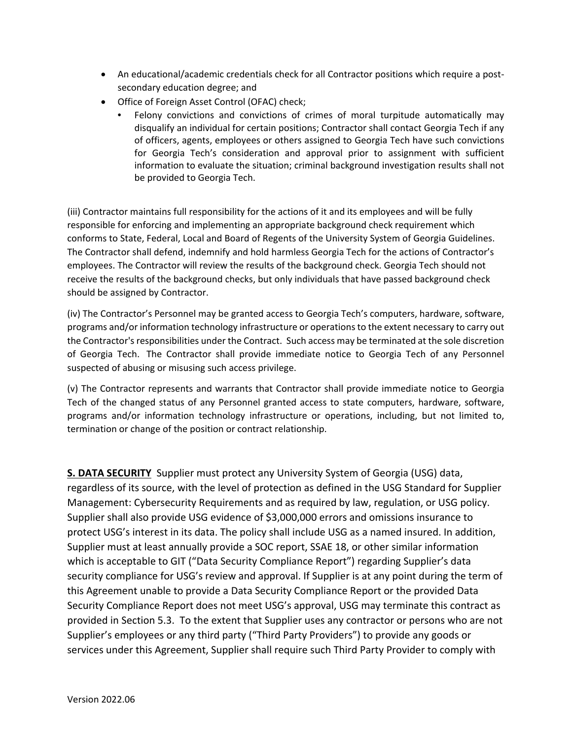- An educational/academic credentials check for all Contractor positions which require a postsecondary education degree; and
- Office of Foreign Asset Control (OFAC) check;
	- Felony convictions and convictions of crimes of moral turpitude automatically may disqualify an individual for certain positions; Contractor shall contact Georgia Tech if any of officers, agents, employees or others assigned to Georgia Tech have such convictions for Georgia Tech's consideration and approval prior to assignment with sufficient information to evaluate the situation; criminal background investigation results shall not be provided to Georgia Tech.

(iii) Contractor maintains full responsibility for the actions of it and its employees and will be fully responsible for enforcing and implementing an appropriate background check requirement which conforms to State, Federal, Local and Board of Regents of the University System of Georgia Guidelines. The Contractor shall defend, indemnify and hold harmless Georgia Tech for the actions of Contractor's employees. The Contractor will review the results of the background check. Georgia Tech should not receive the results of the background checks, but only individuals that have passed background check should be assigned by Contractor.

(iv) The Contractor's Personnel may be granted access to Georgia Tech's computers, hardware, software, programs and/or information technology infrastructure or operations to the extent necessary to carry out the Contractor's responsibilities under the Contract. Such access may be terminated at the sole discretion of Georgia Tech. The Contractor shall provide immediate notice to Georgia Tech of any Personnel suspected of abusing or misusing such access privilege.

(v) The Contractor represents and warrants that Contractor shall provide immediate notice to Georgia Tech of the changed status of any Personnel granted access to state computers, hardware, software, programs and/or information technology infrastructure or operations, including, but not limited to, termination or change of the position or contract relationship.

**S. DATA SECURITY** Supplier must protect any University System of Georgia (USG) data, regardless of its source, with the level of protection as defined in the USG Standard for Supplier Management: Cybersecurity Requirements and as required by law, regulation, or USG policy. Supplier shall also provide USG evidence of \$3,000,000 errors and omissions insurance to protect USG's interest in its data. The policy shall include USG as a named insured. In addition, Supplier must at least annually provide a SOC report, SSAE 18, or other similar information which is acceptable to GIT ("Data Security Compliance Report") regarding Supplier's data security compliance for USG's review and approval. If Supplier is at any point during the term of this Agreement unable to provide a Data Security Compliance Report or the provided Data Security Compliance Report does not meet USG's approval, USG may terminate this contract as provided in Section 5.3. To the extent that Supplier uses any contractor or persons who are not Supplier's employees or any third party ("Third Party Providers") to provide any goods or services under this Agreement, Supplier shall require such Third Party Provider to comply with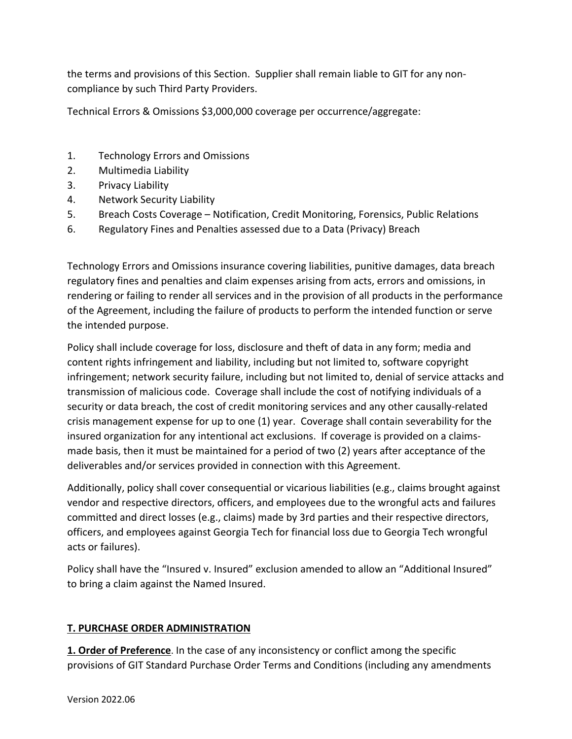the terms and provisions of this Section. Supplier shall remain liable to GIT for any noncompliance by such Third Party Providers.

Technical Errors & Omissions \$3,000,000 coverage per occurrence/aggregate:

- 1. Technology Errors and Omissions
- 2. Multimedia Liability
- 3. Privacy Liability
- 4. Network Security Liability
- 5. Breach Costs Coverage Notification, Credit Monitoring, Forensics, Public Relations
- 6. Regulatory Fines and Penalties assessed due to a Data (Privacy) Breach

Technology Errors and Omissions insurance covering liabilities, punitive damages, data breach regulatory fines and penalties and claim expenses arising from acts, errors and omissions, in rendering or failing to render all services and in the provision of all products in the performance of the Agreement, including the failure of products to perform the intended function or serve the intended purpose.

Policy shall include coverage for loss, disclosure and theft of data in any form; media and content rights infringement and liability, including but not limited to, software copyright infringement; network security failure, including but not limited to, denial of service attacks and transmission of malicious code. Coverage shall include the cost of notifying individuals of a security or data breach, the cost of credit monitoring services and any other causally-related crisis management expense for up to one (1) year. Coverage shall contain severability for the insured organization for any intentional act exclusions. If coverage is provided on a claimsmade basis, then it must be maintained for a period of two (2) years after acceptance of the deliverables and/or services provided in connection with this Agreement.

Additionally, policy shall cover consequential or vicarious liabilities (e.g., claims brought against vendor and respective directors, officers, and employees due to the wrongful acts and failures committed and direct losses (e.g., claims) made by 3rd parties and their respective directors, officers, and employees against Georgia Tech for financial loss due to Georgia Tech wrongful acts or failures).

Policy shall have the "Insured v. Insured" exclusion amended to allow an "Additional Insured" to bring a claim against the Named Insured.

# **T. PURCHASE ORDER ADMINISTRATION**

**1. Order of Preference**. In the case of any inconsistency or conflict among the specific provisions of GIT Standard Purchase Order Terms and Conditions (including any amendments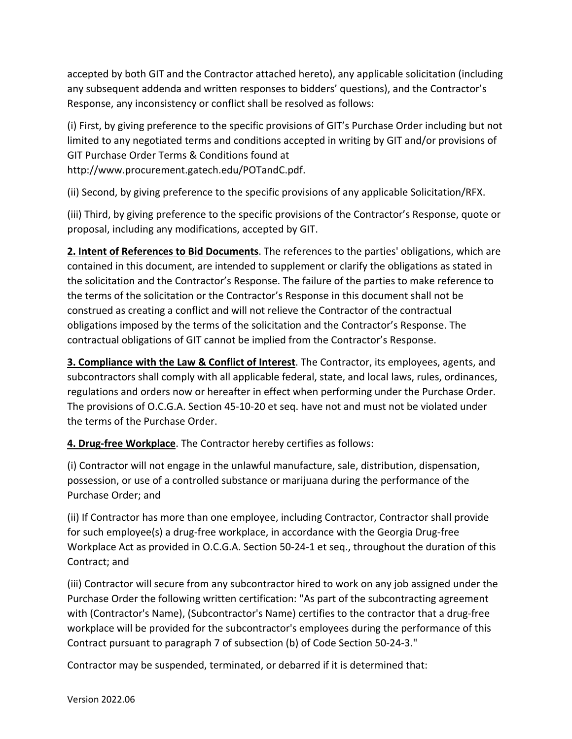accepted by both GIT and the Contractor attached hereto), any applicable solicitation (including any subsequent addenda and written responses to bidders' questions), and the Contractor's Response, any inconsistency or conflict shall be resolved as follows:

(i) First, by giving preference to the specific provisions of GIT's Purchase Order including but not limited to any negotiated terms and conditions accepted in writing by GIT and/or provisions of GIT Purchase Order Terms & Conditions found at http://www.procurement.gatech.edu/POTandC.pdf.

(ii) Second, by giving preference to the specific provisions of any applicable Solicitation/RFX.

(iii) Third, by giving preference to the specific provisions of the Contractor's Response, quote or proposal, including any modifications, accepted by GIT.

**2. Intent of References to Bid Documents**. The references to the parties' obligations, which are contained in this document, are intended to supplement or clarify the obligations as stated in the solicitation and the Contractor's Response. The failure of the parties to make reference to the terms of the solicitation or the Contractor's Response in this document shall not be construed as creating a conflict and will not relieve the Contractor of the contractual obligations imposed by the terms of the solicitation and the Contractor's Response. The contractual obligations of GIT cannot be implied from the Contractor's Response.

**3. Compliance with the Law & Conflict of Interest**. The Contractor, its employees, agents, and subcontractors shall comply with all applicable federal, state, and local laws, rules, ordinances, regulations and orders now or hereafter in effect when performing under the Purchase Order. The provisions of O.C.G.A. Section 45-10-20 et seq. have not and must not be violated under the terms of the Purchase Order.

**4. Drug-free Workplace**. The Contractor hereby certifies as follows:

(i) Contractor will not engage in the unlawful manufacture, sale, distribution, dispensation, possession, or use of a controlled substance or marijuana during the performance of the Purchase Order; and

(ii) If Contractor has more than one employee, including Contractor, Contractor shall provide for such employee(s) a drug-free workplace, in accordance with the Georgia Drug-free Workplace Act as provided in O.C.G.A. Section 50-24-1 et seq., throughout the duration of this Contract; and

(iii) Contractor will secure from any subcontractor hired to work on any job assigned under the Purchase Order the following written certification: "As part of the subcontracting agreement with (Contractor's Name), (Subcontractor's Name) certifies to the contractor that a drug-free workplace will be provided for the subcontractor's employees during the performance of this Contract pursuant to paragraph 7 of subsection (b) of Code Section 50-24-3."

Contractor may be suspended, terminated, or debarred if it is determined that: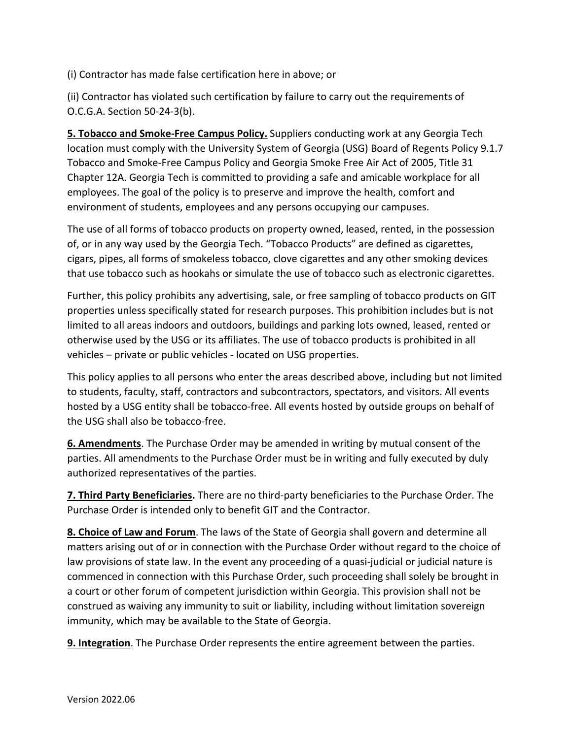(i) Contractor has made false certification here in above; or

(ii) Contractor has violated such certification by failure to carry out the requirements of O.C.G.A. Section 50-24-3(b).

**5. Tobacco and Smoke-Free Campus Policy.** Suppliers conducting work at any Georgia Tech location must comply with the University System of Georgia (USG) Board of Regents Policy 9.1.7 Tobacco and Smoke-Free Campus Policy and Georgia Smoke Free Air Act of 2005, Title 31 Chapter 12A. Georgia Tech is committed to providing a safe and amicable workplace for all employees. The goal of the policy is to preserve and improve the health, comfort and environment of students, employees and any persons occupying our campuses.

The use of all forms of tobacco products on property owned, leased, rented, in the possession of, or in any way used by the Georgia Tech. "Tobacco Products" are defined as cigarettes, cigars, pipes, all forms of smokeless tobacco, clove cigarettes and any other smoking devices that use tobacco such as hookahs or simulate the use of tobacco such as electronic cigarettes.

Further, this policy prohibits any advertising, sale, or free sampling of tobacco products on GIT properties unless specifically stated for research purposes. This prohibition includes but is not limited to all areas indoors and outdoors, buildings and parking lots owned, leased, rented or otherwise used by the USG or its affiliates. The use of tobacco products is prohibited in all vehicles – private or public vehicles - located on USG properties.

This policy applies to all persons who enter the areas described above, including but not limited to students, faculty, staff, contractors and subcontractors, spectators, and visitors. All events hosted by a USG entity shall be tobacco-free. All events hosted by outside groups on behalf of the USG shall also be tobacco-free.

**6. Amendments**. The Purchase Order may be amended in writing by mutual consent of the parties. All amendments to the Purchase Order must be in writing and fully executed by duly authorized representatives of the parties.

**7. Third Party Beneficiaries.** There are no third-party beneficiaries to the Purchase Order. The Purchase Order is intended only to benefit GIT and the Contractor.

**8. Choice of Law and Forum**. The laws of the State of Georgia shall govern and determine all matters arising out of or in connection with the Purchase Order without regard to the choice of law provisions of state law. In the event any proceeding of a quasi-judicial or judicial nature is commenced in connection with this Purchase Order, such proceeding shall solely be brought in a court or other forum of competent jurisdiction within Georgia. This provision shall not be construed as waiving any immunity to suit or liability, including without limitation sovereign immunity, which may be available to the State of Georgia.

**9. Integration**. The Purchase Order represents the entire agreement between the parties.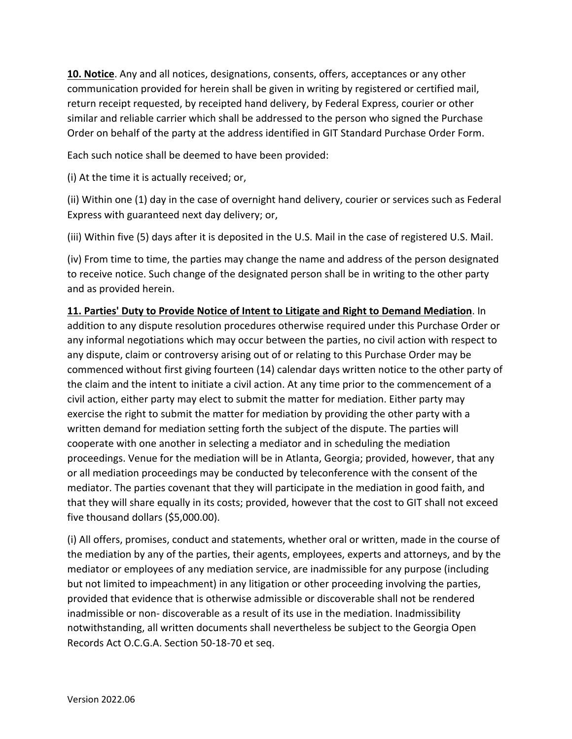**10. Notice**. Any and all notices, designations, consents, offers, acceptances or any other communication provided for herein shall be given in writing by registered or certified mail, return receipt requested, by receipted hand delivery, by Federal Express, courier or other similar and reliable carrier which shall be addressed to the person who signed the Purchase Order on behalf of the party at the address identified in GIT Standard Purchase Order Form.

Each such notice shall be deemed to have been provided:

(i) At the time it is actually received; or,

(ii) Within one (1) day in the case of overnight hand delivery, courier or services such as Federal Express with guaranteed next day delivery; or,

(iii) Within five (5) days after it is deposited in the U.S. Mail in the case of registered U.S. Mail.

(iv) From time to time, the parties may change the name and address of the person designated to receive notice. Such change of the designated person shall be in writing to the other party and as provided herein.

#### **11. Parties' Duty to Provide Notice of Intent to Litigate and Right to Demand Mediation**. In

addition to any dispute resolution procedures otherwise required under this Purchase Order or any informal negotiations which may occur between the parties, no civil action with respect to any dispute, claim or controversy arising out of or relating to this Purchase Order may be commenced without first giving fourteen (14) calendar days written notice to the other party of the claim and the intent to initiate a civil action. At any time prior to the commencement of a civil action, either party may elect to submit the matter for mediation. Either party may exercise the right to submit the matter for mediation by providing the other party with a written demand for mediation setting forth the subject of the dispute. The parties will cooperate with one another in selecting a mediator and in scheduling the mediation proceedings. Venue for the mediation will be in Atlanta, Georgia; provided, however, that any or all mediation proceedings may be conducted by teleconference with the consent of the mediator. The parties covenant that they will participate in the mediation in good faith, and that they will share equally in its costs; provided, however that the cost to GIT shall not exceed five thousand dollars (\$5,000.00).

(i) All offers, promises, conduct and statements, whether oral or written, made in the course of the mediation by any of the parties, their agents, employees, experts and attorneys, and by the mediator or employees of any mediation service, are inadmissible for any purpose (including but not limited to impeachment) in any litigation or other proceeding involving the parties, provided that evidence that is otherwise admissible or discoverable shall not be rendered inadmissible or non- discoverable as a result of its use in the mediation. Inadmissibility notwithstanding, all written documents shall nevertheless be subject to the Georgia Open Records Act O.C.G.A. Section 50-18-70 et seq.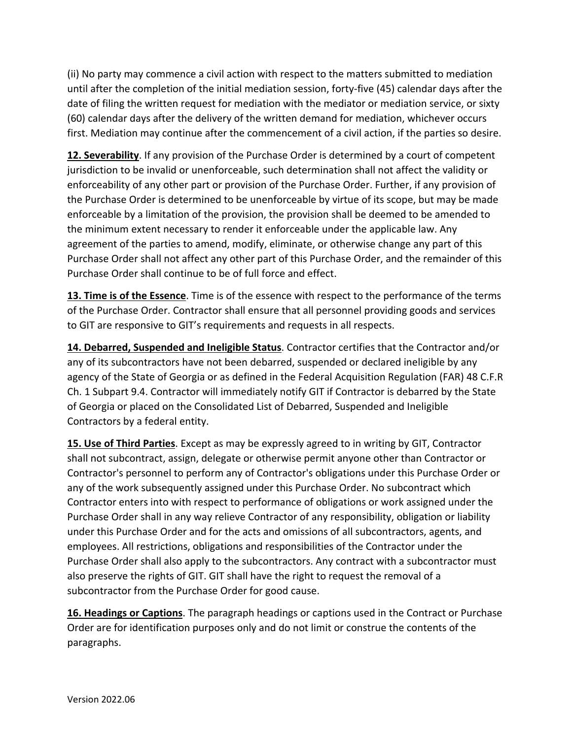(ii) No party may commence a civil action with respect to the matters submitted to mediation until after the completion of the initial mediation session, forty-five (45) calendar days after the date of filing the written request for mediation with the mediator or mediation service, or sixty (60) calendar days after the delivery of the written demand for mediation, whichever occurs first. Mediation may continue after the commencement of a civil action, if the parties so desire.

**12. Severability**. If any provision of the Purchase Order is determined by a court of competent jurisdiction to be invalid or unenforceable, such determination shall not affect the validity or enforceability of any other part or provision of the Purchase Order. Further, if any provision of the Purchase Order is determined to be unenforceable by virtue of its scope, but may be made enforceable by a limitation of the provision, the provision shall be deemed to be amended to the minimum extent necessary to render it enforceable under the applicable law. Any agreement of the parties to amend, modify, eliminate, or otherwise change any part of this Purchase Order shall not affect any other part of this Purchase Order, and the remainder of this Purchase Order shall continue to be of full force and effect.

**13. Time is of the Essence**. Time is of the essence with respect to the performance of the terms of the Purchase Order. Contractor shall ensure that all personnel providing goods and services to GIT are responsive to GIT's requirements and requests in all respects.

**14. Debarred, Suspended and Ineligible Status**. Contractor certifies that the Contractor and/or any of its subcontractors have not been debarred, suspended or declared ineligible by any agency of the State of Georgia or as defined in the Federal Acquisition Regulation (FAR) 48 C.F.R Ch. 1 Subpart 9.4. Contractor will immediately notify GIT if Contractor is debarred by the State of Georgia or placed on the Consolidated List of Debarred, Suspended and Ineligible Contractors by a federal entity.

**15. Use of Third Parties**. Except as may be expressly agreed to in writing by GIT, Contractor shall not subcontract, assign, delegate or otherwise permit anyone other than Contractor or Contractor's personnel to perform any of Contractor's obligations under this Purchase Order or any of the work subsequently assigned under this Purchase Order. No subcontract which Contractor enters into with respect to performance of obligations or work assigned under the Purchase Order shall in any way relieve Contractor of any responsibility, obligation or liability under this Purchase Order and for the acts and omissions of all subcontractors, agents, and employees. All restrictions, obligations and responsibilities of the Contractor under the Purchase Order shall also apply to the subcontractors. Any contract with a subcontractor must also preserve the rights of GIT. GIT shall have the right to request the removal of a subcontractor from the Purchase Order for good cause.

**16. Headings or Captions**. The paragraph headings or captions used in the Contract or Purchase Order are for identification purposes only and do not limit or construe the contents of the paragraphs.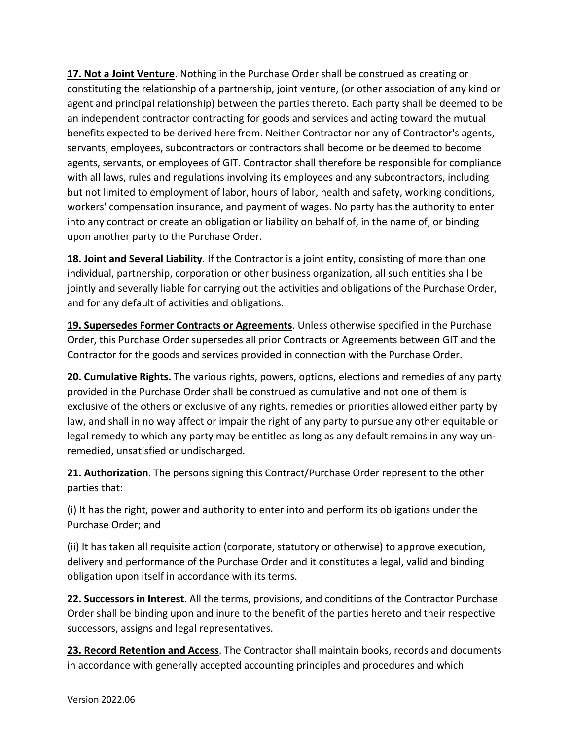**17. Not a Joint Venture**. Nothing in the Purchase Order shall be construed as creating or constituting the relationship of a partnership, joint venture, (or other association of any kind or agent and principal relationship) between the parties thereto. Each party shall be deemed to be an independent contractor contracting for goods and services and acting toward the mutual benefits expected to be derived here from. Neither Contractor nor any of Contractor's agents, servants, employees, subcontractors or contractors shall become or be deemed to become agents, servants, or employees of GIT. Contractor shall therefore be responsible for compliance with all laws, rules and regulations involving its employees and any subcontractors, including but not limited to employment of labor, hours of labor, health and safety, working conditions, workers' compensation insurance, and payment of wages. No party has the authority to enter into any contract or create an obligation or liability on behalf of, in the name of, or binding upon another party to the Purchase Order.

**18. Joint and Several Liability**. If the Contractor is a joint entity, consisting of more than one individual, partnership, corporation or other business organization, all such entities shall be jointly and severally liable for carrying out the activities and obligations of the Purchase Order, and for any default of activities and obligations.

**19. Supersedes Former Contracts or Agreements**. Unless otherwise specified in the Purchase Order, this Purchase Order supersedes all prior Contracts or Agreements between GIT and the Contractor for the goods and services provided in connection with the Purchase Order.

**20. Cumulative Rights.** The various rights, powers, options, elections and remedies of any party provided in the Purchase Order shall be construed as cumulative and not one of them is exclusive of the others or exclusive of any rights, remedies or priorities allowed either party by law, and shall in no way affect or impair the right of any party to pursue any other equitable or legal remedy to which any party may be entitled as long as any default remains in any way unremedied, unsatisfied or undischarged.

**21. Authorization**. The persons signing this Contract/Purchase Order represent to the other parties that:

(i) It has the right, power and authority to enter into and perform its obligations under the Purchase Order; and

(ii) It has taken all requisite action (corporate, statutory or otherwise) to approve execution, delivery and performance of the Purchase Order and it constitutes a legal, valid and binding obligation upon itself in accordance with its terms.

**22. Successors in Interest**. All the terms, provisions, and conditions of the Contractor Purchase Order shall be binding upon and inure to the benefit of the parties hereto and their respective successors, assigns and legal representatives.

**23. Record Retention and Access**. The Contractor shall maintain books, records and documents in accordance with generally accepted accounting principles and procedures and which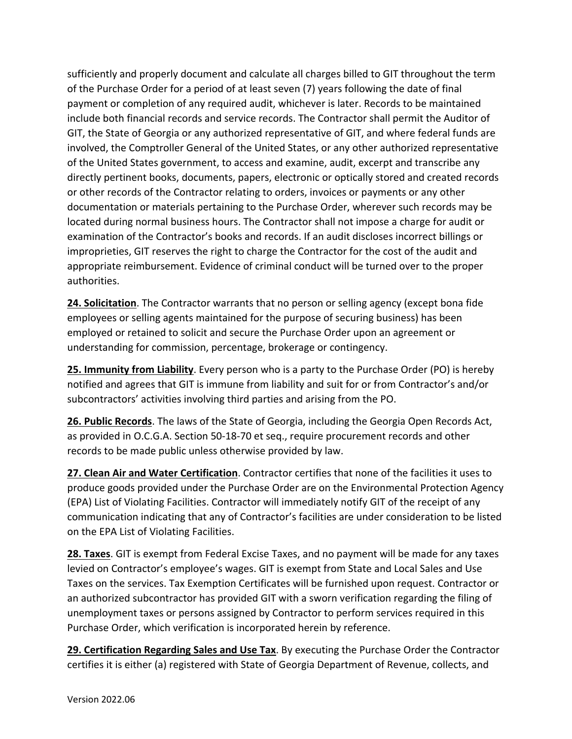sufficiently and properly document and calculate all charges billed to GIT throughout the term of the Purchase Order for a period of at least seven (7) years following the date of final payment or completion of any required audit, whichever is later. Records to be maintained include both financial records and service records. The Contractor shall permit the Auditor of GIT, the State of Georgia or any authorized representative of GIT, and where federal funds are involved, the Comptroller General of the United States, or any other authorized representative of the United States government, to access and examine, audit, excerpt and transcribe any directly pertinent books, documents, papers, electronic or optically stored and created records or other records of the Contractor relating to orders, invoices or payments or any other documentation or materials pertaining to the Purchase Order, wherever such records may be located during normal business hours. The Contractor shall not impose a charge for audit or examination of the Contractor's books and records. If an audit discloses incorrect billings or improprieties, GIT reserves the right to charge the Contractor for the cost of the audit and appropriate reimbursement. Evidence of criminal conduct will be turned over to the proper authorities.

**24. Solicitation**. The Contractor warrants that no person or selling agency (except bona fide employees or selling agents maintained for the purpose of securing business) has been employed or retained to solicit and secure the Purchase Order upon an agreement or understanding for commission, percentage, brokerage or contingency.

**25. Immunity from Liability**. Every person who is a party to the Purchase Order (PO) is hereby notified and agrees that GIT is immune from liability and suit for or from Contractor's and/or subcontractors' activities involving third parties and arising from the PO.

**26. Public Records**. The laws of the State of Georgia, including the Georgia Open Records Act, as provided in O.C.G.A. Section 50-18-70 et seq., require procurement records and other records to be made public unless otherwise provided by law.

**27. Clean Air and Water Certification**. Contractor certifies that none of the facilities it uses to produce goods provided under the Purchase Order are on the Environmental Protection Agency (EPA) List of Violating Facilities. Contractor will immediately notify GIT of the receipt of any communication indicating that any of Contractor's facilities are under consideration to be listed on the EPA List of Violating Facilities.

**28. Taxes**. GIT is exempt from Federal Excise Taxes, and no payment will be made for any taxes levied on Contractor's employee's wages. GIT is exempt from State and Local Sales and Use Taxes on the services. Tax Exemption Certificates will be furnished upon request. Contractor or an authorized subcontractor has provided GIT with a sworn verification regarding the filing of unemployment taxes or persons assigned by Contractor to perform services required in this Purchase Order, which verification is incorporated herein by reference.

**29. Certification Regarding Sales and Use Tax**. By executing the Purchase Order the Contractor certifies it is either (a) registered with State of Georgia Department of Revenue, collects, and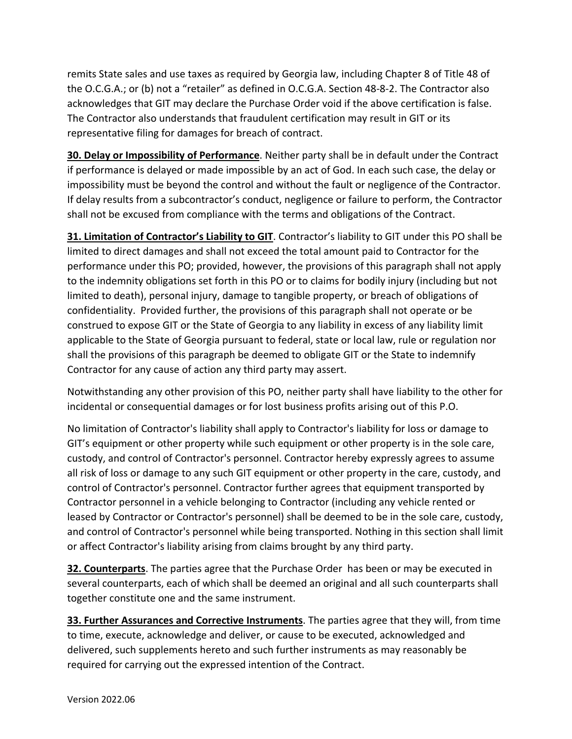remits State sales and use taxes as required by Georgia law, including Chapter 8 of Title 48 of the O.C.G.A.; or (b) not a "retailer" as defined in O.C.G.A. Section 48-8-2. The Contractor also acknowledges that GIT may declare the Purchase Order void if the above certification is false. The Contractor also understands that fraudulent certification may result in GIT or its representative filing for damages for breach of contract.

**30. Delay or Impossibility of Performance**. Neither party shall be in default under the Contract if performance is delayed or made impossible by an act of God. In each such case, the delay or impossibility must be beyond the control and without the fault or negligence of the Contractor. If delay results from a subcontractor's conduct, negligence or failure to perform, the Contractor shall not be excused from compliance with the terms and obligations of the Contract.

**31. Limitation of Contractor's Liability to GIT**. Contractor's liability to GIT under this PO shall be limited to direct damages and shall not exceed the total amount paid to Contractor for the performance under this PO; provided, however, the provisions of this paragraph shall not apply to the indemnity obligations set forth in this PO or to claims for bodily injury (including but not limited to death), personal injury, damage to tangible property, or breach of obligations of confidentiality. Provided further, the provisions of this paragraph shall not operate or be construed to expose GIT or the State of Georgia to any liability in excess of any liability limit applicable to the State of Georgia pursuant to federal, state or local law, rule or regulation nor shall the provisions of this paragraph be deemed to obligate GIT or the State to indemnify Contractor for any cause of action any third party may assert.

Notwithstanding any other provision of this PO, neither party shall have liability to the other for incidental or consequential damages or for lost business profits arising out of this P.O.

No limitation of Contractor's liability shall apply to Contractor's liability for loss or damage to GIT's equipment or other property while such equipment or other property is in the sole care, custody, and control of Contractor's personnel. Contractor hereby expressly agrees to assume all risk of loss or damage to any such GIT equipment or other property in the care, custody, and control of Contractor's personnel. Contractor further agrees that equipment transported by Contractor personnel in a vehicle belonging to Contractor (including any vehicle rented or leased by Contractor or Contractor's personnel) shall be deemed to be in the sole care, custody, and control of Contractor's personnel while being transported. Nothing in this section shall limit or affect Contractor's liability arising from claims brought by any third party.

**32. Counterparts**. The parties agree that the Purchase Order has been or may be executed in several counterparts, each of which shall be deemed an original and all such counterparts shall together constitute one and the same instrument.

**33. Further Assurances and Corrective Instruments**. The parties agree that they will, from time to time, execute, acknowledge and deliver, or cause to be executed, acknowledged and delivered, such supplements hereto and such further instruments as may reasonably be required for carrying out the expressed intention of the Contract.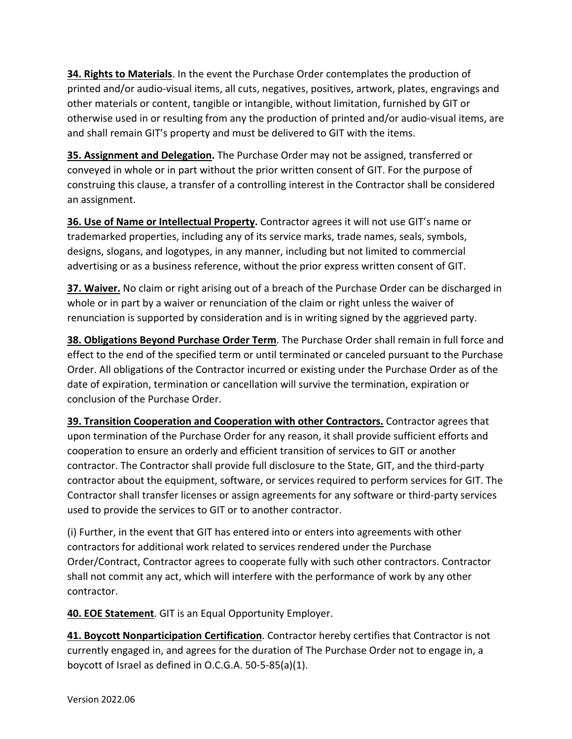**34. Rights to Materials**. In the event the Purchase Order contemplates the production of printed and/or audio-visual items, all cuts, negatives, positives, artwork, plates, engravings and other materials or content, tangible or intangible, without limitation, furnished by GIT or otherwise used in or resulting from any the production of printed and/or audio-visual items, are and shall remain GIT's property and must be delivered to GIT with the items.

**35. Assignment and Delegation.** The Purchase Order may not be assigned, transferred or conveyed in whole or in part without the prior written consent of GIT. For the purpose of construing this clause, a transfer of a controlling interest in the Contractor shall be considered an assignment.

**36. Use of Name or Intellectual Property.** Contractor agrees it will not use GIT's name or trademarked properties, including any of its service marks, trade names, seals, symbols, designs, slogans, and logotypes, in any manner, including but not limited to commercial advertising or as a business reference, without the prior express written consent of GIT.

**37. Waiver.** No claim or right arising out of a breach of the Purchase Order can be discharged in whole or in part by a waiver or renunciation of the claim or right unless the waiver of renunciation is supported by consideration and is in writing signed by the aggrieved party.

**38. Obligations Beyond Purchase Order Term**. The Purchase Order shall remain in full force and effect to the end of the specified term or until terminated or canceled pursuant to the Purchase Order. All obligations of the Contractor incurred or existing under the Purchase Order as of the date of expiration, termination or cancellation will survive the termination, expiration or conclusion of the Purchase Order.

**39. Transition Cooperation and Cooperation with other Contractors.** Contractor agrees that upon termination of the Purchase Order for any reason, it shall provide sufficient efforts and cooperation to ensure an orderly and efficient transition of services to GIT or another contractor. The Contractor shall provide full disclosure to the State, GIT, and the third-party contractor about the equipment, software, or services required to perform services for GIT. The Contractor shall transfer licenses or assign agreements for any software or third-party services used to provide the services to GIT or to another contractor.

(i) Further, in the event that GIT has entered into or enters into agreements with other contractors for additional work related to services rendered under the Purchase Order/Contract, Contractor agrees to cooperate fully with such other contractors. Contractor shall not commit any act, which will interfere with the performance of work by any other contractor.

**40. EOE Statement**. GIT is an Equal Opportunity Employer.

**41. Boycott Nonparticipation Certification**. Contractor hereby certifies that Contractor is not currently engaged in, and agrees for the duration of The Purchase Order not to engage in, a boycott of Israel as defined in O.C.G.A. 50-5-85(a)(1).